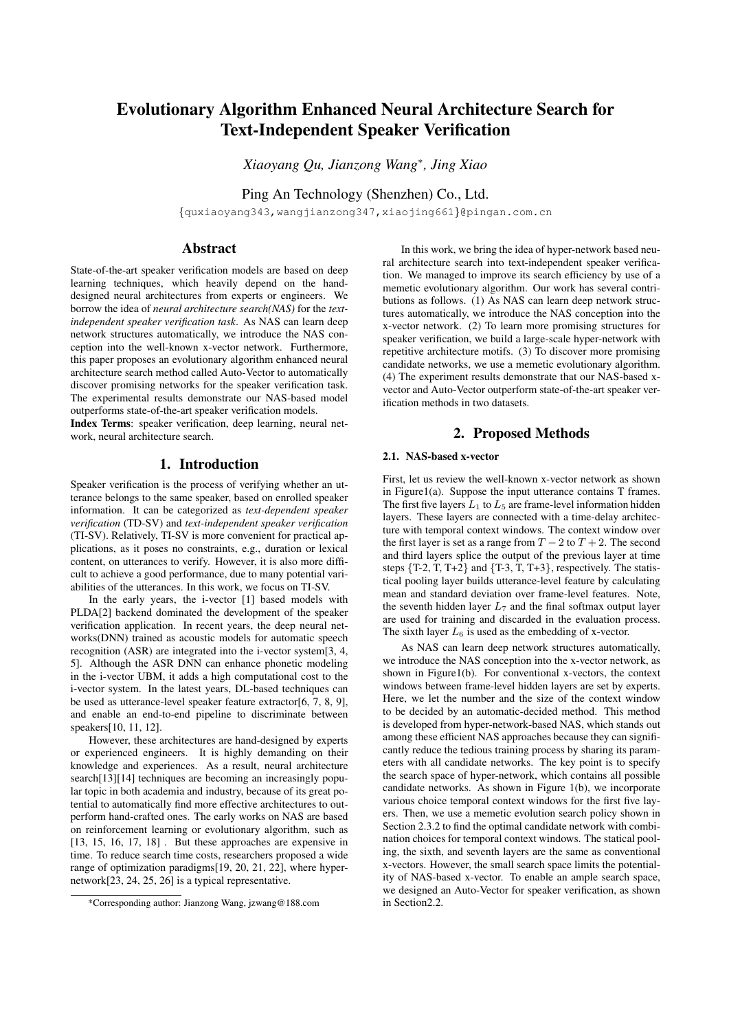# Evolutionary Algorithm Enhanced Neural Architecture Search for Text-Independent Speaker Verification

*Xiaoyang Qu, Jianzong Wang*<sup>∗</sup> *, Jing Xiao*

Ping An Technology (Shenzhen) Co., Ltd.

{quxiaoyang343,wangjianzong347,xiaojing661}@pingan.com.cn

# Abstract

State-of-the-art speaker verification models are based on deep learning techniques, which heavily depend on the handdesigned neural architectures from experts or engineers. We borrow the idea of *neural architecture search(NAS)* for the *textindependent speaker verification task*. As NAS can learn deep network structures automatically, we introduce the NAS conception into the well-known x-vector network. Furthermore, this paper proposes an evolutionary algorithm enhanced neural architecture search method called Auto-Vector to automatically discover promising networks for the speaker verification task. The experimental results demonstrate our NAS-based model outperforms state-of-the-art speaker verification models.

Index Terms: speaker verification, deep learning, neural network, neural architecture search.

# 1. Introduction

Speaker verification is the process of verifying whether an utterance belongs to the same speaker, based on enrolled speaker information. It can be categorized as *text-dependent speaker verification* (TD-SV) and *text-independent speaker verification* (TI-SV). Relatively, TI-SV is more convenient for practical applications, as it poses no constraints, e.g., duration or lexical content, on utterances to verify. However, it is also more difficult to achieve a good performance, due to many potential variabilities of the utterances. In this work, we focus on TI-SV.

In the early years, the i-vector [1] based models with PLDA[2] backend dominated the development of the speaker verification application. In recent years, the deep neural networks(DNN) trained as acoustic models for automatic speech recognition (ASR) are integrated into the i-vector system[3, 4, 5]. Although the ASR DNN can enhance phonetic modeling in the i-vector UBM, it adds a high computational cost to the i-vector system. In the latest years, DL-based techniques can be used as utterance-level speaker feature extractor[6, 7, 8, 9], and enable an end-to-end pipeline to discriminate between speakers[10, 11, 12].

However, these architectures are hand-designed by experts or experienced engineers. It is highly demanding on their knowledge and experiences. As a result, neural architecture search[13][14] techniques are becoming an increasingly popular topic in both academia and industry, because of its great potential to automatically find more effective architectures to outperform hand-crafted ones. The early works on NAS are based on reinforcement learning or evolutionary algorithm, such as [13, 15, 16, 17, 18]. But these approaches are expensive in time. To reduce search time costs, researchers proposed a wide range of optimization paradigms[19, 20, 21, 22], where hypernetwork[23, 24, 25, 26] is a typical representative.

In this work, we bring the idea of hyper-network based neural architecture search into text-independent speaker verification. We managed to improve its search efficiency by use of a memetic evolutionary algorithm. Our work has several contributions as follows. (1) As NAS can learn deep network structures automatically, we introduce the NAS conception into the x-vector network. (2) To learn more promising structures for speaker verification, we build a large-scale hyper-network with repetitive architecture motifs. (3) To discover more promising candidate networks, we use a memetic evolutionary algorithm. (4) The experiment results demonstrate that our NAS-based xvector and Auto-Vector outperform state-of-the-art speaker verification methods in two datasets.

### 2. Proposed Methods

### 2.1. NAS-based x-vector

First, let us review the well-known x-vector network as shown in Figure1(a). Suppose the input utterance contains T frames. The first five layers  $L_1$  to  $L_5$  are frame-level information hidden layers. These layers are connected with a time-delay architecture with temporal context windows. The context window over the first layer is set as a range from  $T - 2$  to  $T + 2$ . The second and third layers splice the output of the previous layer at time steps  $\{T-2, T, T+2\}$  and  $\{T-3, T, T+3\}$ , respectively. The statistical pooling layer builds utterance-level feature by calculating mean and standard deviation over frame-level features. Note, the seventh hidden layer  $L_7$  and the final softmax output layer are used for training and discarded in the evaluation process. The sixth layer  $L_6$  is used as the embedding of x-vector.

As NAS can learn deep network structures automatically, we introduce the NAS conception into the x-vector network, as shown in Figure1(b). For conventional x-vectors, the context windows between frame-level hidden layers are set by experts. Here, we let the number and the size of the context window to be decided by an automatic-decided method. This method is developed from hyper-network-based NAS, which stands out among these efficient NAS approaches because they can significantly reduce the tedious training process by sharing its parameters with all candidate networks. The key point is to specify the search space of hyper-network, which contains all possible candidate networks. As shown in Figure 1(b), we incorporate various choice temporal context windows for the first five layers. Then, we use a memetic evolution search policy shown in Section 2.3.2 to find the optimal candidate network with combination choices for temporal context windows. The statical pooling, the sixth, and seventh layers are the same as conventional x-vectors. However, the small search space limits the potentiality of NAS-based x-vector. To enable an ample search space, we designed an Auto-Vector for speaker verification, as shown in Section2.2.

<sup>\*</sup>Corresponding author: Jianzong Wang, jzwang@188.com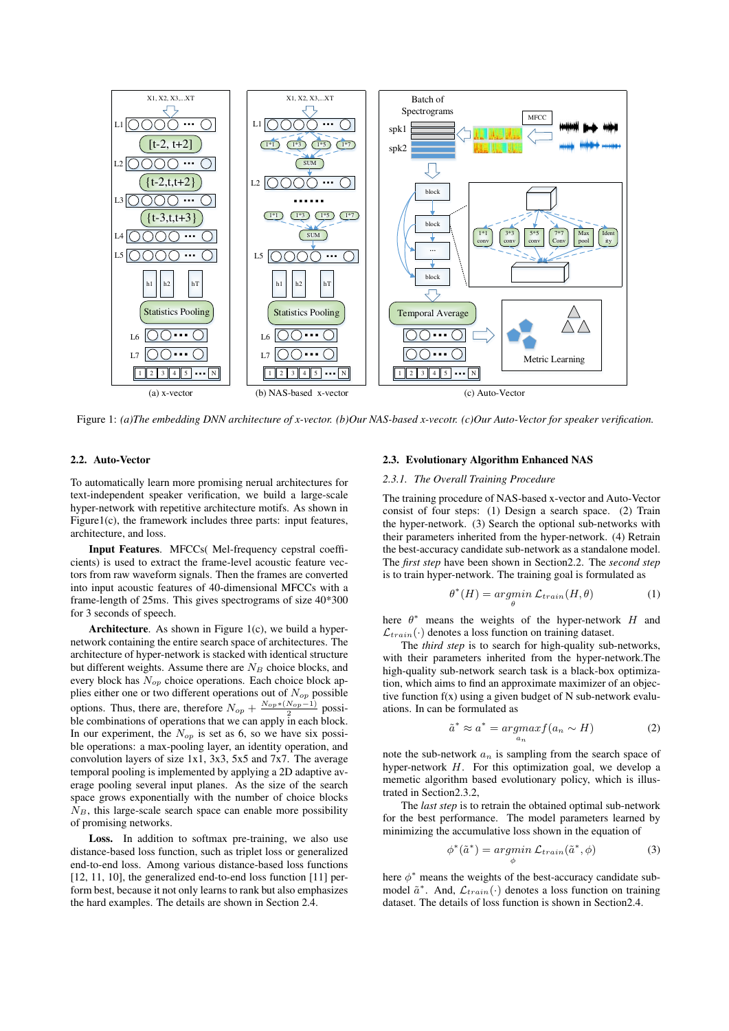

Figure 1: *(a)The embedding DNN architecture of x-vector. (b)Our NAS-based x-vecotr. (c)Our Auto-Vector for speaker verification.*

#### 2.2. Auto-Vector

To automatically learn more promising nerual architectures for text-independent speaker verification, we build a large-scale hyper-network with repetitive architecture motifs. As shown in Figure1(c), the framework includes three parts: input features, architecture, and loss.

Input Features. MFCCs( Mel-frequency cepstral coefficients) is used to extract the frame-level acoustic feature vectors from raw waveform signals. Then the frames are converted into input acoustic features of 40-dimensional MFCCs with a frame-length of 25ms. This gives spectrograms of size 40\*300 for 3 seconds of speech.

Architecture. As shown in Figure 1(c), we build a hypernetwork containing the entire search space of architectures. The architecture of hyper-network is stacked with identical structure but different weights. Assume there are  $N_B$  choice blocks, and every block has  $N_{op}$  choice operations. Each choice block applies either one or two different operations out of  $N_{op}$  possible options. Thus, there are, therefore  $N_{op} + \frac{N_{op} * (N_{op} - 1)}{2}$  possible combinations of operations that we can apply in each block. In our experiment, the  $N_{op}$  is set as 6, so we have six possible operations: a max-pooling layer, an identity operation, and convolution layers of size 1x1, 3x3, 5x5 and 7x7. The average temporal pooling is implemented by applying a 2D adaptive average pooling several input planes. As the size of the search space grows exponentially with the number of choice blocks  $N_B$ , this large-scale search space can enable more possibility of promising networks.

Loss. In addition to softmax pre-training, we also use distance-based loss function, such as triplet loss or generalized end-to-end loss. Among various distance-based loss functions [12, 11, 10], the generalized end-to-end loss function [11] perform best, because it not only learns to rank but also emphasizes the hard examples. The details are shown in Section 2.4.

#### 2.3. Evolutionary Algorithm Enhanced NAS

#### *2.3.1. The Overall Training Procedure*

The training procedure of NAS-based x-vector and Auto-Vector consist of four steps: (1) Design a search space. (2) Train the hyper-network. (3) Search the optional sub-networks with their parameters inherited from the hyper-network. (4) Retrain the best-accuracy candidate sub-network as a standalone model. The *first step* have been shown in Section2.2. The *second step* is to train hyper-network. The training goal is formulated as

$$
\theta^*(H) = \underset{\theta}{\operatorname{argmin}} \ \mathcal{L}_{train}(H, \theta) \tag{1}
$$

here  $\theta^*$  means the weights of the hyper-network H and  $\mathcal{L}_{train}(\cdot)$  denotes a loss function on training dataset.

The *third step* is to search for high-quality sub-networks, with their parameters inherited from the hyper-network.The high-quality sub-network search task is a black-box optimization, which aims to find an approximate maximizer of an objective function  $f(x)$  using a given budget of N sub-network evaluations. In can be formulated as

$$
\tilde{a}^* \approx a^* = \underset{a_n}{\operatorname{argmax}} f(a_n \sim H) \tag{2}
$$

note the sub-network  $a_n$  is sampling from the search space of hyper-network  $H$ . For this optimization goal, we develop a memetic algorithm based evolutionary policy, which is illustrated in Section2.3.2,

The *last step* is to retrain the obtained optimal sub-network for the best performance. The model parameters learned by minimizing the accumulative loss shown in the equation of

$$
\phi^*(\tilde{a}^*) = \underset{\phi}{\operatorname{argmin}} \ \mathcal{L}_{train}(\tilde{a}^*, \phi) \tag{3}
$$

here  $\phi^*$  means the weights of the best-accuracy candidate submodel  $\tilde{a}^*$ . And,  $\mathcal{L}_{train}(\cdot)$  denotes a loss function on training dataset. The details of loss function is shown in Section2.4.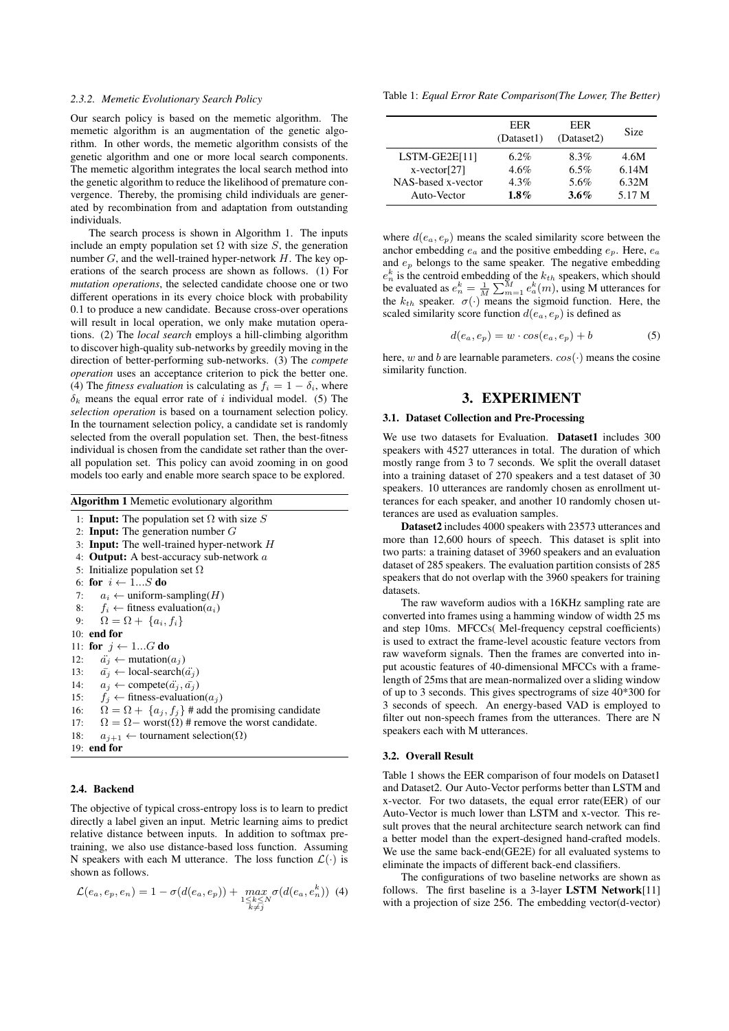#### *2.3.2. Memetic Evolutionary Search Policy*

Our search policy is based on the memetic algorithm. The memetic algorithm is an augmentation of the genetic algorithm. In other words, the memetic algorithm consists of the genetic algorithm and one or more local search components. The memetic algorithm integrates the local search method into the genetic algorithm to reduce the likelihood of premature convergence. Thereby, the promising child individuals are generated by recombination from and adaptation from outstanding individuals.

The search process is shown in Algorithm 1. The inputs include an empty population set  $\Omega$  with size S, the generation number  $G$ , and the well-trained hyper-network  $H$ . The key operations of the search process are shown as follows. (1) For *mutation operations*, the selected candidate choose one or two different operations in its every choice block with probability 0.1 to produce a new candidate. Because cross-over operations will result in local operation, we only make mutation operations. (2) The *local search* employs a hill-climbing algorithm to discover high-quality sub-networks by greedily moving in the direction of better-performing sub-networks. (3) The *compete operation* uses an acceptance criterion to pick the better one. (4) The *fitness evaluation* is calculating as  $f_i = 1 - \delta_i$ , where  $\delta_k$  means the equal error rate of i individual model. (5) The *selection operation* is based on a tournament selection policy. In the tournament selection policy, a candidate set is randomly selected from the overall population set. Then, the best-fitness individual is chosen from the candidate set rather than the overall population set. This policy can avoid zooming in on good models too early and enable more search space to be explored.

| <b>Algorithm 1</b> Memetic evolutionary algorithm |                                                                    |  |  |
|---------------------------------------------------|--------------------------------------------------------------------|--|--|
|                                                   | 1: <b>Input:</b> The population set $\Omega$ with size S           |  |  |
|                                                   | 2: <b>Input:</b> The generation number $G$                         |  |  |
|                                                   | 3: <b>Input:</b> The well-trained hyper-network H                  |  |  |
|                                                   | 4: <b>Output:</b> A best-accuracy sub-network $a$                  |  |  |
|                                                   | 5: Initialize population set $\Omega$                              |  |  |
|                                                   | 6: for $i \leftarrow 1S$ do                                        |  |  |
|                                                   | 7: $a_i \leftarrow$ uniform-sampling( <i>H</i> )                   |  |  |
| 8:                                                | $f_i \leftarrow$ fitness evaluation( $a_i$ )                       |  |  |
|                                                   | 9: $\Omega = \Omega + \{a_i, f_i\}$                                |  |  |
|                                                   | 10: end for                                                        |  |  |
|                                                   | 11: for $j \leftarrow 1G$ do                                       |  |  |
| 12:                                               | $\ddot{a_i} \leftarrow \text{mutation}(a_i)$                       |  |  |
| 13:                                               | $\bar{a_i} \leftarrow local-search(\ddot{a_i})$                    |  |  |
|                                                   | 14: $a_i \leftarrow \text{complete}(\ddot{a_i}, \bar{a_i})$        |  |  |
|                                                   | 15: $f_i \leftarrow$ fitness-evaluation( $a_j$ )                   |  |  |
|                                                   | 16: $\Omega = \Omega + \{a_i, f_i\}$ # add the promising candidate |  |  |
| 17:                                               | $\Omega = \Omega$ – worst $(\Omega)$ # remove the worst candidate. |  |  |
| 18:                                               | $a_{i+1} \leftarrow$ tournament selection( $\Omega$ )              |  |  |
|                                                   | $19:$ end for                                                      |  |  |
|                                                   |                                                                    |  |  |

#### 2.4. Backend

The objective of typical cross-entropy loss is to learn to predict directly a label given an input. Metric learning aims to predict relative distance between inputs. In addition to softmax pretraining, we also use distance-based loss function. Assuming N speakers with each M utterance. The loss function  $\mathcal{L}(\cdot)$  is shown as follows.

$$
\mathcal{L}(e_a, e_p, e_n) = 1 - \sigma(d(e_a, e_p)) + \max_{\substack{1 \le k \le N \\ k \ne j}} \sigma(d(e_a, e_n^k)) \tag{4}
$$

Table 1: *Equal Error Rate Comparison(The Lower, The Better)*

|                    | EER<br>(Dataset1) | <b>EER</b><br>(Dataset2) | <b>Size</b> |
|--------------------|-------------------|--------------------------|-------------|
| $LSTM-GE2E[11]$    | $6.2\%$           | 8.3%                     | 4.6M        |
| $x-vector[27]$     | $4.6\%$           | 6.5%                     | 6.14M       |
| NAS-based x-vector | $4.3\%$           | 5.6%                     | 6.32M       |
| Auto-Vector        | $1.8\%$           | 3.6%                     | 5.17 M      |

where  $d(e_a, e_p)$  means the scaled similarity score between the anchor embedding  $e_a$  and the positive embedding  $e_p$ . Here,  $e_a$ and  $e_p$  belongs to the same speaker. The negative embedding  $e_n^k$  is the centroid embedding of the  $k_{th}$  speakers, which should be evaluated as  $e_n^k = \frac{1}{M} \sum_{m=1}^{M} e_a^k(m)$ , using M utterances for the  $k_{th}$  speaker.  $\sigma(\cdot)$  means the sigmoid function. Here, the scaled similarity score function  $d(e_a, e_p)$  is defined as

$$
d(e_a, e_p) = w \cdot \cos(e_a, e_p) + b \tag{5}
$$

here, w and b are learnable parameters.  $cos(\cdot)$  means the cosine similarity function.

## 3. EXPERIMENT

#### 3.1. Dataset Collection and Pre-Processing

We use two datasets for Evaluation. Dataset1 includes 300 speakers with 4527 utterances in total. The duration of which mostly range from 3 to 7 seconds. We split the overall dataset into a training dataset of 270 speakers and a test dataset of 30 speakers. 10 utterances are randomly chosen as enrollment utterances for each speaker, and another 10 randomly chosen utterances are used as evaluation samples.

Dataset2 includes 4000 speakers with 23573 utterances and more than 12,600 hours of speech. This dataset is split into two parts: a training dataset of 3960 speakers and an evaluation dataset of 285 speakers. The evaluation partition consists of 285 speakers that do not overlap with the 3960 speakers for training datasets.

The raw waveform audios with a 16KHz sampling rate are converted into frames using a hamming window of width 25 ms and step 10ms. MFCCs( Mel-frequency cepstral coefficients) is used to extract the frame-level acoustic feature vectors from raw waveform signals. Then the frames are converted into input acoustic features of 40-dimensional MFCCs with a framelength of 25ms that are mean-normalized over a sliding window of up to 3 seconds. This gives spectrograms of size 40\*300 for 3 seconds of speech. An energy-based VAD is employed to filter out non-speech frames from the utterances. There are N speakers each with M utterances.

#### 3.2. Overall Result

Table 1 shows the EER comparison of four models on Dataset1 and Dataset2. Our Auto-Vector performs better than LSTM and x-vector. For two datasets, the equal error rate(EER) of our Auto-Vector is much lower than LSTM and x-vector. This result proves that the neural architecture search network can find a better model than the expert-designed hand-crafted models. We use the same back-end(GE2E) for all evaluated systems to eliminate the impacts of different back-end classifiers.

The configurations of two baseline networks are shown as follows. The first baseline is a 3-layer LSTM Network[11] with a projection of size 256. The embedding vector(d-vector)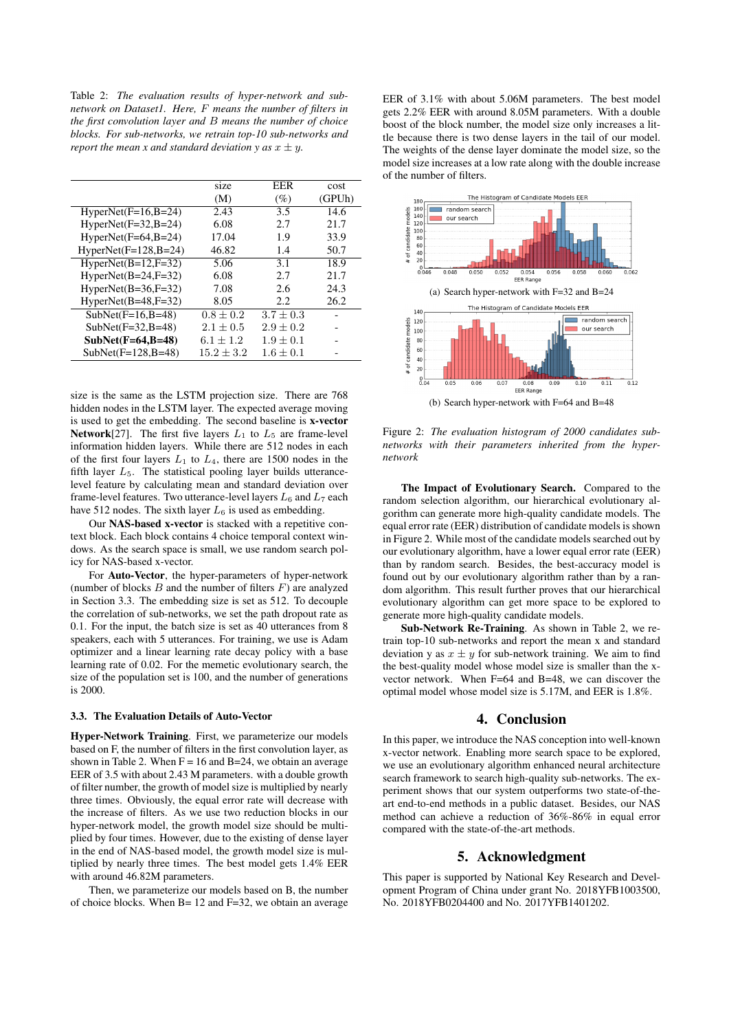Table 2: *The evaluation results of hyper-network and subnetwork on Dataset1. Here,* F *means the number of filters in the first convolution layer and* B *means the number of choice blocks. For sub-networks, we retrain top-10 sub-networks and report the mean x and standard deviation y as*  $x \pm y$ .

| size           | EER           | cost   |
|----------------|---------------|--------|
| (M)            | (%)           | (GPUh) |
| 2.43           | 3.5           | 14.6   |
| 6.08           | 2.7           | 21.7   |
| 17.04          | 1.9           | 33.9   |
| 46.82          | 1.4           | 50.7   |
| 5.06           | 3.1           | 18.9   |
| 6.08           | 2.7           | 21.7   |
| 7.08           | 2.6           | 24.3   |
| 8.05           | 2.2.          | 26.2   |
| $0.8 + 0.2$    | $3.7 + 0.3$   |        |
| $2.1 \pm 0.5$  | $2.9 \pm 0.2$ |        |
| $6.1 + 1.2$    | $1.9 + 0.1$   |        |
| $15.2 \pm 3.2$ | $1.6 + 0.1$   |        |
|                |               |        |

size is the same as the LSTM projection size. There are 768 hidden nodes in the LSTM layer. The expected average moving is used to get the embedding. The second baseline is x-vector Network[27]. The first five layers  $L_1$  to  $L_5$  are frame-level information hidden layers. While there are 512 nodes in each of the first four layers  $L_1$  to  $L_4$ , there are 1500 nodes in the fifth layer  $L_5$ . The statistical pooling layer builds utterancelevel feature by calculating mean and standard deviation over frame-level features. Two utterance-level layers  $L_6$  and  $L_7$  each have 512 nodes. The sixth layer  $L_6$  is used as embedding.

Our NAS-based x-vector is stacked with a repetitive context block. Each block contains 4 choice temporal context windows. As the search space is small, we use random search policy for NAS-based x-vector.

For Auto-Vector, the hyper-parameters of hyper-network (number of blocks  $B$  and the number of filters  $F$ ) are analyzed in Section 3.3. The embedding size is set as 512. To decouple the correlation of sub-networks, we set the path dropout rate as 0.1. For the input, the batch size is set as 40 utterances from 8 speakers, each with 5 utterances. For training, we use is Adam optimizer and a linear learning rate decay policy with a base learning rate of 0.02. For the memetic evolutionary search, the size of the population set is 100, and the number of generations is 2000.

#### 3.3. The Evaluation Details of Auto-Vector

Hyper-Network Training. First, we parameterize our models based on F, the number of filters in the first convolution layer, as shown in Table 2. When  $F = 16$  and B=24, we obtain an average EER of 3.5 with about 2.43 M parameters. with a double growth of filter number, the growth of model size is multiplied by nearly three times. Obviously, the equal error rate will decrease with the increase of filters. As we use two reduction blocks in our hyper-network model, the growth model size should be multiplied by four times. However, due to the existing of dense layer in the end of NAS-based model, the growth model size is multiplied by nearly three times. The best model gets 1.4% EER with around 46.82M parameters.

Then, we parameterize our models based on B, the number of choice blocks. When B= 12 and F=32, we obtain an average EER of 3.1% with about 5.06M parameters. The best model gets 2.2% EER with around 8.05M parameters. With a double boost of the block number, the model size only increases a little because there is two dense layers in the tail of our model. The weights of the dense layer dominate the model size, so the model size increases at a low rate along with the double increase of the number of filters.



Figure 2: *The evaluation histogram of 2000 candidates subnetworks with their parameters inherited from the hypernetwork*

The Impact of Evolutionary Search. Compared to the random selection algorithm, our hierarchical evolutionary algorithm can generate more high-quality candidate models. The equal error rate (EER) distribution of candidate models is shown in Figure 2. While most of the candidate models searched out by our evolutionary algorithm, have a lower equal error rate (EER) than by random search. Besides, the best-accuracy model is found out by our evolutionary algorithm rather than by a random algorithm. This result further proves that our hierarchical evolutionary algorithm can get more space to be explored to generate more high-quality candidate models.

Sub-Network Re-Training. As shown in Table 2, we retrain top-10 sub-networks and report the mean x and standard deviation y as  $x \pm y$  for sub-network training. We aim to find the best-quality model whose model size is smaller than the xvector network. When F=64 and B=48, we can discover the optimal model whose model size is 5.17M, and EER is 1.8%.

## 4. Conclusion

In this paper, we introduce the NAS conception into well-known x-vector network. Enabling more search space to be explored, we use an evolutionary algorithm enhanced neural architecture search framework to search high-quality sub-networks. The experiment shows that our system outperforms two state-of-theart end-to-end methods in a public dataset. Besides, our NAS method can achieve a reduction of 36%-86% in equal error compared with the state-of-the-art methods.

## 5. Acknowledgment

This paper is supported by National Key Research and Development Program of China under grant No. 2018YFB1003500, No. 2018YFB0204400 and No. 2017YFB1401202.